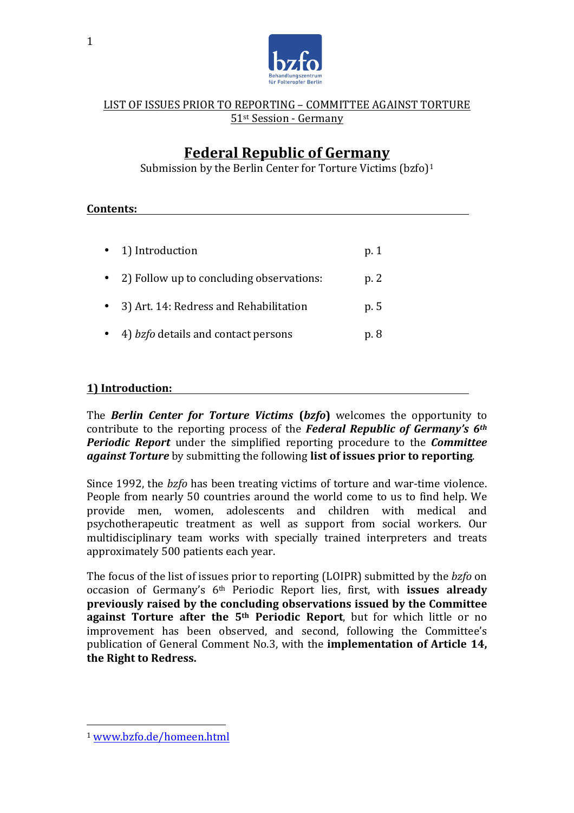

# **Federal Republic of Germany**

Submission by the Berlin Center for Torture Victims  $(bzfo)<sup>1</sup>$ 

### **Contents:**

| • 1) Introduction                          | p. 1 |
|--------------------------------------------|------|
| 2) Follow up to concluding observations:   | p. 2 |
| 3) Art. 14: Redress and Rehabilitation     | p. 5 |
| 4) <i>bzfo</i> details and contact persons | p. 8 |

# **1)** Introduction:

The **Berlin Center for Torture Victims (bzfo)** welcomes the opportunity to contribute to the reporting process of the *Federal Republic of Germany's* 6<sup>th</sup> *Periodic Report* under the simplified reporting procedure to the *Committee against Torture* by submitting the following **list of issues prior to reporting**.

Since 1992, the *bzfo* has been treating victims of torture and war-time violence. People from nearly 50 countries around the world come to us to find help. We provide men, women, adolescents and children with medical and psychotherapeutic treatment as well as support from social workers. Our multidisciplinary team works with specially trained interpreters and treats approximately 500 patients each year.

The focus of the list of issues prior to reporting (LOIPR) submitted by the *bzfo* on occasion of Germany's 6<sup>th</sup> Periodic Report lies, first, with **issues already previously raised by the concluding observations issued by the Committee against Torture after the 5<sup>th</sup> Periodic Report**, but for which little or no improvement has been observed, and second, following the Committee's publication of General Comment No.3, with the **implementation of Article 14,** the Right to Redress.

 <sup>1</sup> www.bzfo.de/homeen.html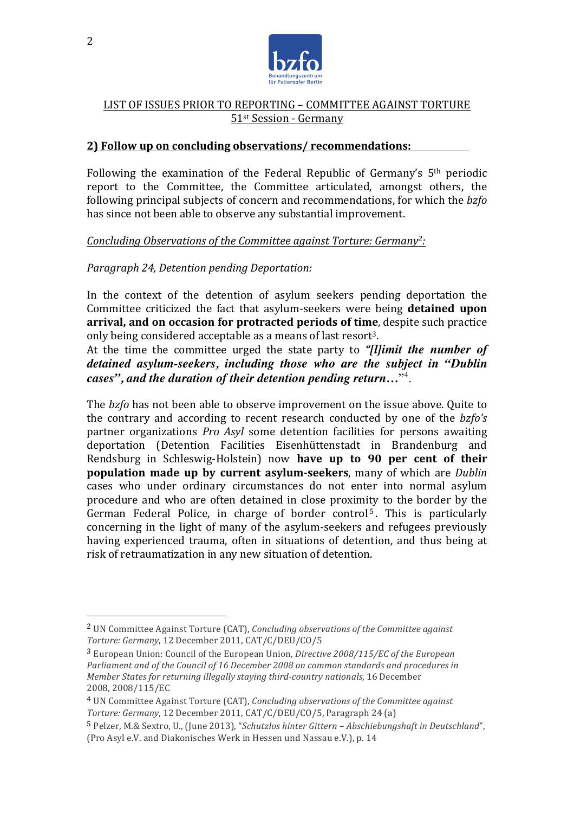

#### **2)** Follow up on concluding observations/ recommendations:

Following the examination of the Federal Republic of Germany's  $5<sup>th</sup>$  periodic report to the Committee, the Committee articulated, amongst others, the following principal subjects of concern and recommendations, for which the *bzfo* has since not been able to observe any substantial improvement.

#### *Concluding Observations of the Committee against Torture: Germany<sup>2</sup>:*

#### *Paragraph 24, Detention pending Deportation:*

 

In the context of the detention of asylum seekers pending deportation the Committee criticized the fact that asylum-seekers were being **detained upon arrival, and on occasion for protracted periods of time**, despite such practice only being considered acceptable as a means of last resort<sup>3</sup>.

At the time the committee urged the state party to *"[l]imit the number of detained asylum-seekers, including those who are the subject in "Dublin cases", and the duration of their detention pending return…*"4 .

The *bzfo* has not been able to observe improvement on the issue above. Quite to the contrary and according to recent research conducted by one of the *bzfo's* partner organizations *Pro Asyl* some detention facilities for persons awaiting deportation (Detention Facilities Eisenhüttenstadt in Brandenburg and Rendsburg in Schleswig-Holstein) now have up to 90 per cent of their **population made up by current asylum-seekers**, many of which are *Dublin* cases who under ordinary circumstances do not enter into normal asylum procedure and who are often detained in close proximity to the border by the German Federal Police, in charge of border control<sup>5</sup>. This is particularly concerning in the light of many of the asylum-seekers and refugees previously having experienced trauma, often in situations of detention, and thus being at risk of retraumatization in any new situation of detention.

<sup>&</sup>lt;sup>2</sup> UN Committee Against Torture (CAT), *Concluding observations of the Committee against Torture: Germany*, 12 December 2011, CAT/C/DEU/CO/5

<sup>&</sup>lt;sup>3</sup> European Union: Council of the European Union. *Directive 2008/115/EC of the European* Parliament and of the Council of 16 December 2008 on common standards and procedures in *Member States for returning illegally staying third-country nationals,* 16 December 2008, 2008/115/EC

<sup>&</sup>lt;sup>4</sup> UN Committee Against Torture (CAT), *Concluding observations of the Committee against Torture: Germany*, 12 December 2011, CAT/C/DEU/CO/5, Paragraph 24 (a)

<sup>5</sup> Pelzer, M.& Sextro, U., (June 2013), "*Schutzlos hinter Gittern – Abschiebungshaft in Deutschland*", (Pro Asyl e.V. and Diakonisches Werk in Hessen und Nassau e.V.), p. 14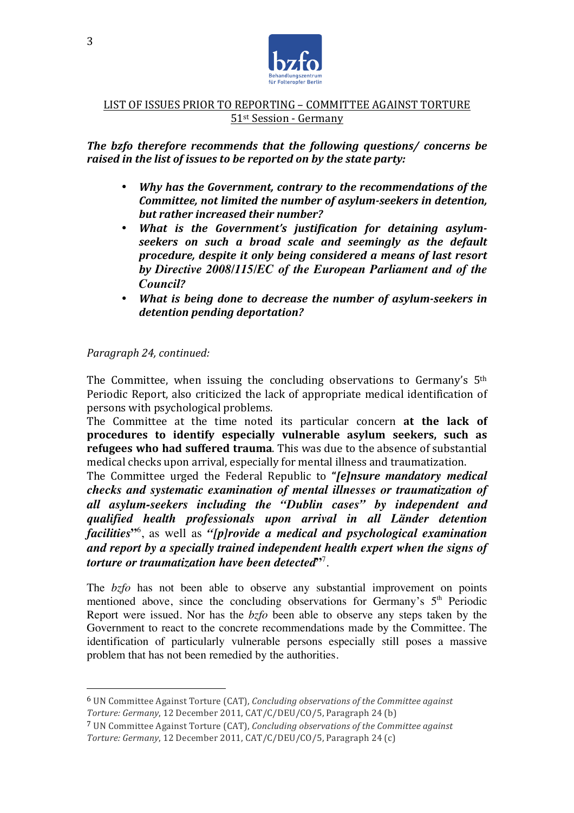

*The bzfo therefore recommends that the following questions/ concerns be raised in the list of issues to be reported on by the state party:* 

- Why has the Government, contrary to the recommendations of the *Committee, not limited the number of asylum-seekers in detention, but rather increased their number?*
- What is the Government's justification for detaining asylumseekers on such a broad scale and seemingly as the default *procedure, despite it only being considered a means of last resort by Directive 2008/115/EC of the European Parliament and of the Council?*
- *What is being done to decrease the number of asylum-seekers in* detention pending deportation?

# *Paragraph 24, continued:*

 

The Committee, when issuing the concluding observations to Germany's  $5<sup>th</sup>$ Periodic Report, also criticized the lack of appropriate medical identification of persons with psychological problems.

The Committee at the time noted its particular concern **at the lack of procedures** to identify especially vulnerable asylum seekers, such as **refugees** who had suffered trauma. This was due to the absence of substantial medical checks upon arrival, especially for mental illness and traumatization.

The Committee urged the Federal Republic to "*[e]nsure mandatory medical checks and systematic examination of mental illnesses or traumatization of all asylum-seekers including the "Dublin cases" by independent and qualified health professionals upon arrival in all Länder detention facilities***"**<sup>6</sup> , as well as *"[p]rovide a medical and psychological examination and report by a specially trained independent health expert when the signs of torture or traumatization have been detected***"**<sup>7</sup> .

The *bzfo* has not been able to observe any substantial improvement on points mentioned above, since the concluding observations for Germany's  $5<sup>th</sup>$  Periodic Report were issued. Nor has the *bzfo* been able to observe any steps taken by the Government to react to the concrete recommendations made by the Committee. The identification of particularly vulnerable persons especially still poses a massive problem that has not been remedied by the authorities.

<sup>&</sup>lt;sup>6</sup> UN Committee Against Torture (CAT), *Concluding observations of the Committee against Torture: Germany*, 12 December 2011, CAT/C/DEU/CO/5, Paragraph 24 (b)

<sup>&</sup>lt;sup>7</sup> UN Committee Against Torture (CAT), *Concluding observations of the Committee against* Torture: Germany, 12 December 2011, CAT/C/DEU/CO/5, Paragraph 24 (c)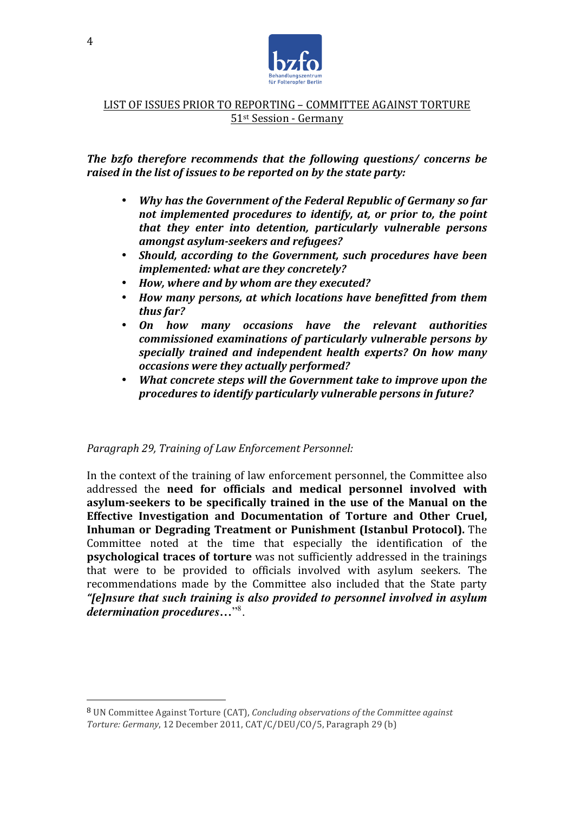

**The bzfo therefore recommends that the following questions/ concerns be** *raised in the list of issues to be reported on by the state party:* 

- *Why has the Government of the Federal Republic of Germany so far not implemented procedures to identify, at, or prior to, the point that they enter into detention, particularly vulnerable persons amongst asylum-seekers and refugees?*
- *Should, according to the Government, such procedures have been implemented:* what are they concretely?
- How, where and by whom are they executed?
- *How many persons, at which locations have benefitted from them thus far?*
- *On how many occasions have the relevant authorities commissioned examinations of particularly vulnerable persons by specially trained and independent health experts? On how many occasions were they actually performed?*
- *What concrete steps will the Government take to improve upon the procedures to identify particularly vulnerable persons in future?*

#### Paragraph 29, Training of Law Enforcement Personnel:

 

In the context of the training of law enforcement personnel, the Committee also addressed the **need for officials and medical personnel involved with** asylum-seekers to be specifically trained in the use of the Manual on the **Effective Investigation and Documentation of Torture and Other Cruel. Inhuman or Degrading Treatment or Punishment (Istanbul Protocol).** The Committee noted at the time that especially the identification of the **psychological traces of torture** was not sufficiently addressed in the trainings that were to be provided to officials involved with asylum seekers. The recommendations made by the Committee also included that the State party *"[e]nsure that such training is also provided to personnel involved in asylum determination procedures…*"8 .

<sup>&</sup>lt;sup>8</sup> UN Committee Against Torture (CAT), *Concluding observations of the Committee against Torture: Germany*, 12 December 2011, CAT/C/DEU/CO/5, Paragraph 29 (b)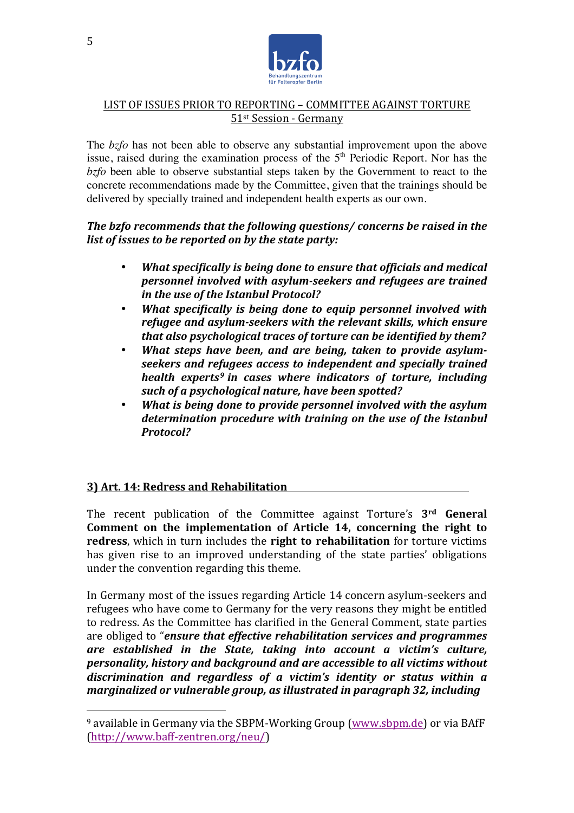

The *bzfo* has not been able to observe any substantial improvement upon the above issue, raised during the examination process of the 5<sup>th</sup> Periodic Report. Nor has the *bzfo* been able to observe substantial steps taken by the Government to react to the concrete recommendations made by the Committee, given that the trainings should be delivered by specially trained and independent health experts as our own.

## *The bzfo recommends that the following questions/ concerns be raised in the list of issues to be reported on by the state party:*

- *What specifically is being done to ensure that officials and medical personnel involved with asylum-seekers and refugees are trained in the use of the Istanbul Protocol?*
- **What specifically is being done to equip personnel involved with** *refugee and asylum-seekers with the relevant skills, which ensure that also psychological traces of torture can be identified by them?*
- *What steps have been, and are being, taken to provide asylum*seekers and refugees access to independent and specially trained *health experts<sup>9</sup> in cases where indicators of torture, including* such of a psychological nature, have been spotted?
- *What is being done to provide personnel involved with the asylum* determination procedure with training on the use of the Istanbul *Protocol?*

# **3) Art. 14: Redress and Rehabilitation**

 

The recent publication of the Committee against Torture's 3<sup>rd</sup> General **Comment on the implementation of Article 14, concerning the right to redress**, which in turn includes the **right to rehabilitation** for torture victims has given rise to an improved understanding of the state parties' obligations under the convention regarding this theme.

In Germany most of the issues regarding Article 14 concern asylum-seekers and refugees who have come to Germany for the very reasons they might be entitled to redress. As the Committee has clarified in the General Comment, state parties are obliged to "*ensure that effective rehabilitation services and programmes are* established in the State, taking into account a victim's culture, *personality, history and background and are accessible to all victims without* discrimination and regardless of a victim's identity or status within a *marginalized or vulnerable group, as illustrated in paragraph 32, including* 

 $9$  available in Germany via the SBPM-Working Group (www.sbpm.de) or via BAfF (http://www.baff-zentren.org/neu/)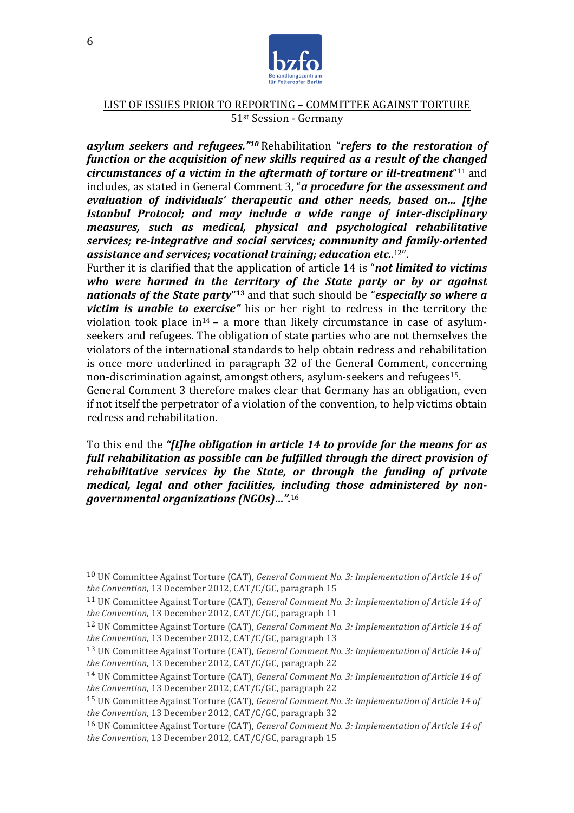

*asylum seekers and refugees."<sup>10</sup> Rehabilitation "refers to the restoration of function or the acquisition of new skills required as a result of the changed circumstances of a victim in the aftermath of torture or ill-treatment*<sup>"11</sup> and includes, as stated in General Comment 3, "*a procedure for the assessment and evaluation of individuals' therapeutic and other needs, based on... [t]he Istanbul Protocol;* and may include a wide range of inter-disciplinary *measures, such as medical, physical and psychological rehabilitative services; re-integrative and social services; community and family-oriented* assistance and services; vocational training; education etc..<sup>12</sup>".

Further it is clarified that the application of article 14 is "*not limited to victims* who were harmed in the territory of the State party or by or against *nationals of the State party*<sup>"13</sup> and that such should be "*especially so where a victim* is *unable to exercise*" his or her right to redress in the territory the violation took place  $in^{14}$  – a more than likely circumstance in case of asylumseekers and refugees. The obligation of state parties who are not themselves the violators of the international standards to help obtain redress and rehabilitation is once more underlined in paragraph 32 of the General Comment, concerning non-discrimination against, amongst others, asylum-seekers and refugees<sup>15</sup>.

General Comment 3 therefore makes clear that Germany has an obligation, even if not itself the perpetrator of a violation of the convention, to help victims obtain redress and rehabilitation.

To this end the "*[t]he obligation in article 14 to provide for the means for as* full rehabilitation as possible can be fulfilled through the direct provision of *rehabilitative services by the State, or through the funding of private* medical, legal and other facilities, including those administered by non*governmental organizations (NGOs)…".*<sup>16</sup>

 

<sup>10</sup> UN Committee Against Torture (CAT), *General Comment No. 3: Implementation of Article 14 of the Convention*, 13 December 2012, CAT/C/GC, paragraph 15

<sup>11</sup> UN Committee Against Torture (CAT), *General Comment No. 3: Implementation of Article 14 of the Convention*, 13 December 2012, CAT/C/GC, paragraph 11

<sup>&</sup>lt;sup>12</sup> UN Committee Against Torture (CAT), *General Comment No. 3: Implementation of Article* 14 of *the Convention*, 13 December 2012, CAT/C/GC, paragraph 13

<sup>&</sup>lt;sup>13</sup> UN Committee Against Torture (CAT), *General Comment No. 3: Implementation of Article 14 of the Convention*, 13 December 2012, CAT/C/GC, paragraph 22

<sup>&</sup>lt;sup>14</sup> UN Committee Against Torture (CAT), *General Comment No. 3: Implementation of Article* 14 of *the Convention*, 13 December 2012, CAT/C/GC, paragraph 22

<sup>&</sup>lt;sup>15</sup> UN Committee Against Torture (CAT), *General Comment No. 3: Implementation of Article* 14 of *the Convention*, 13 December 2012, CAT/C/GC, paragraph 32

<sup>16</sup> UN Committee Against Torture (CAT), *General Comment No. 3: Implementation of Article 14 of the Convention*, 13 December 2012, CAT/C/GC, paragraph 15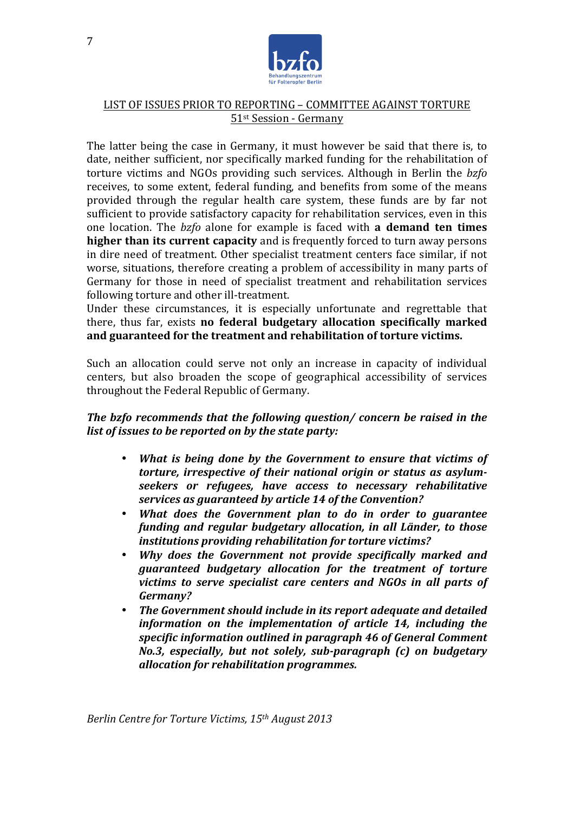

The latter being the case in Germany, it must however be said that there is, to date, neither sufficient, nor specifically marked funding for the rehabilitation of torture victims and NGOs providing such services. Although in Berlin the *bzfo* receives, to some extent, federal funding, and benefits from some of the means provided through the regular health care system, these funds are by far not sufficient to provide satisfactory capacity for rehabilitation services, even in this one location. The *bzfo* alone for example is faced with **a demand ten times higher than its current capacity** and is frequently forced to turn away persons in dire need of treatment. Other specialist treatment centers face similar, if not worse, situations, therefore creating a problem of accessibility in many parts of Germany for those in need of specialist treatment and rehabilitation services following torture and other ill-treatment.

Under these circumstances, it is especially unfortunate and regrettable that there, thus far, exists **no federal budgetary allocation specifically marked** and guaranteed for the treatment and rehabilitation of torture victims.

Such an allocation could serve not only an increase in capacity of individual centers, but also broaden the scope of geographical accessibility of services throughout the Federal Republic of Germany.

# *The bzfo recommends that the following question/ concern be raised in the list of issues to be reported on by the state party:*

- *What is being done by the Government to ensure that victims of torture, irrespective of their national origin or status as asylumseekers* or refugees, have access to necessary rehabilitative services as guaranteed by article 14 of the Convention?
- What does the Government plan to do in order to guarantee *funding* and *regular budgetary allocation, in all Länder, to those institutions providing rehabilitation for torture victims?*
- *Why does the Government not provide specifically marked and guaranteed budgetary allocation for the treatment of torture victims to serve specialist care centers and NGOs in all parts of Germany?*
- The Government should include in its report adequate and detailed *information* on the *implementation* of article 14, including the specific information outlined in paragraph 46 of General Comment *No.3, especially, but not solely, sub-paragraph (c) on budgetary allocation for rehabilitation programmes.*